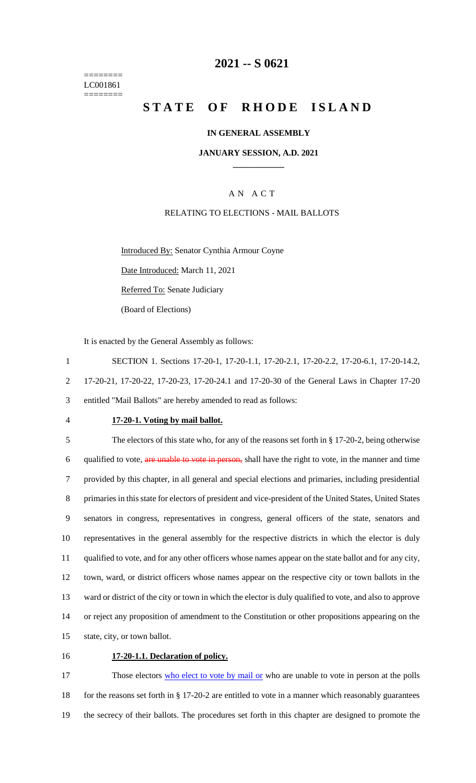======== LC001861 ========

# **2021 -- S 0621**

# **STATE OF RHODE ISLAND**

#### **IN GENERAL ASSEMBLY**

#### **JANUARY SESSION, A.D. 2021 \_\_\_\_\_\_\_\_\_\_\_\_**

## A N A C T

#### RELATING TO ELECTIONS - MAIL BALLOTS

Introduced By: Senator Cynthia Armour Coyne

Date Introduced: March 11, 2021

Referred To: Senate Judiciary

(Board of Elections)

It is enacted by the General Assembly as follows:

1 SECTION 1. Sections 17-20-1, 17-20-1.1, 17-20-2.1, 17-20-2.2, 17-20-6.1, 17-20-14.2, 2 17-20-21, 17-20-22, 17-20-23, 17-20-24.1 and 17-20-30 of the General Laws in Chapter 17-20 3 entitled "Mail Ballots" are hereby amended to read as follows:

#### 4 **17-20-1. Voting by mail ballot.**

 The electors of this state who, for any of the reasons set forth in § 17-20-2, being otherwise 6 qualified to vote, are unable to vote in person, shall have the right to vote, in the manner and time provided by this chapter, in all general and special elections and primaries, including presidential primaries in this state for electors of president and vice-president of the United States, United States senators in congress, representatives in congress, general officers of the state, senators and representatives in the general assembly for the respective districts in which the elector is duly qualified to vote, and for any other officers whose names appear on the state ballot and for any city, town, ward, or district officers whose names appear on the respective city or town ballots in the ward or district of the city or town in which the elector is duly qualified to vote, and also to approve or reject any proposition of amendment to the Constitution or other propositions appearing on the state, city, or town ballot.

# 16 **17-20-1.1. Declaration of policy.**

17 Those electors who elect to vote by mail or who are unable to vote in person at the polls 18 for the reasons set forth in § 17-20-2 are entitled to vote in a manner which reasonably guarantees 19 the secrecy of their ballots. The procedures set forth in this chapter are designed to promote the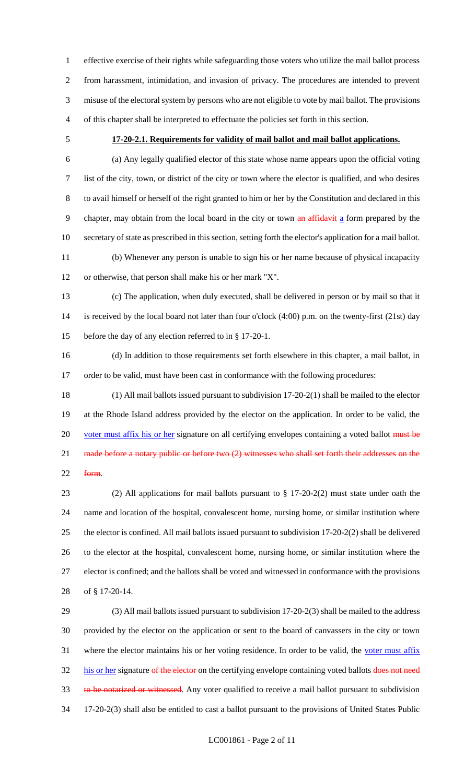effective exercise of their rights while safeguarding those voters who utilize the mail ballot process from harassment, intimidation, and invasion of privacy. The procedures are intended to prevent misuse of the electoral system by persons who are not eligible to vote by mail ballot. The provisions of this chapter shall be interpreted to effectuate the policies set forth in this section.

#### **17-20-2.1. Requirements for validity of mail ballot and mail ballot applications.**

 (a) Any legally qualified elector of this state whose name appears upon the official voting list of the city, town, or district of the city or town where the elector is qualified, and who desires to avail himself or herself of the right granted to him or her by the Constitution and declared in this 9 chapter, may obtain from the local board in the city or town an affidavit a form prepared by the secretary of state as prescribed in this section, setting forth the elector's application for a mail ballot.

 (b) Whenever any person is unable to sign his or her name because of physical incapacity or otherwise, that person shall make his or her mark "X".

 (c) The application, when duly executed, shall be delivered in person or by mail so that it is received by the local board not later than four o'clock (4:00) p.m. on the twenty-first (21st) day before the day of any election referred to in § 17-20-1.

 (d) In addition to those requirements set forth elsewhere in this chapter, a mail ballot, in 17 order to be valid, must have been cast in conformance with the following procedures:

 (1) All mail ballots issued pursuant to subdivision 17-20-2(1) shall be mailed to the elector at the Rhode Island address provided by the elector on the application. In order to be valid, the 20 voter must affix his or her signature on all certifying envelopes containing a voted ballot must be 21 made before a notary public or before two (2) witnesses who shall set forth their addresses on the form.

 (2) All applications for mail ballots pursuant to § 17-20-2(2) must state under oath the name and location of the hospital, convalescent home, nursing home, or similar institution where the elector is confined. All mail ballots issued pursuant to subdivision 17-20-2(2) shall be delivered to the elector at the hospital, convalescent home, nursing home, or similar institution where the elector is confined; and the ballots shall be voted and witnessed in conformance with the provisions of § 17-20-14.

 (3) All mail ballots issued pursuant to subdivision 17-20-2(3) shall be mailed to the address provided by the elector on the application or sent to the board of canvassers in the city or town 31 where the elector maintains his or her voting residence. In order to be valid, the voter must affix 32 his or her signature of the elector on the certifying envelope containing voted ballots does not need 33 to be notarized or witnessed. Any voter qualified to receive a mail ballot pursuant to subdivision 17-20-2(3) shall also be entitled to cast a ballot pursuant to the provisions of United States Public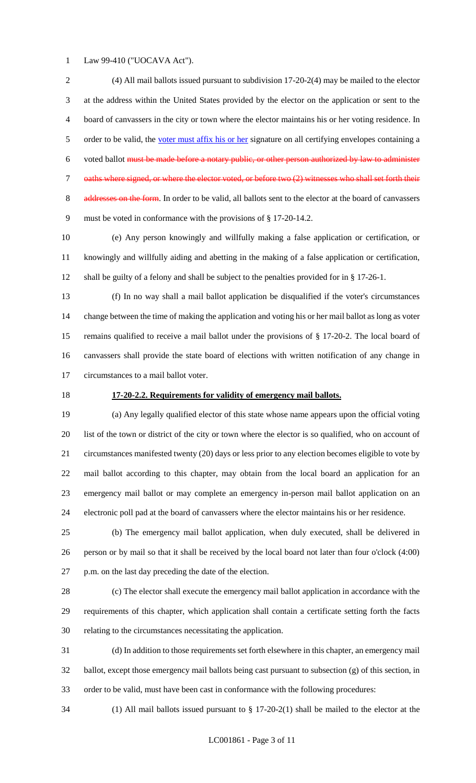Law 99-410 ("UOCAVA Act").

 (4) All mail ballots issued pursuant to subdivision 17-20-2(4) may be mailed to the elector at the address within the United States provided by the elector on the application or sent to the board of canvassers in the city or town where the elector maintains his or her voting residence. In 5 order to be valid, the voter must affix his or her signature on all certifying envelopes containing a voted ballot must be made before a notary public, or other person authorized by law to administer oaths where signed, or where the elector voted, or before two (2) witnesses who shall set forth their 8 addresses on the form. In order to be valid, all ballots sent to the elector at the board of canvassers must be voted in conformance with the provisions of § 17-20-14.2.

 (e) Any person knowingly and willfully making a false application or certification, or knowingly and willfully aiding and abetting in the making of a false application or certification, shall be guilty of a felony and shall be subject to the penalties provided for in § 17-26-1.

 (f) In no way shall a mail ballot application be disqualified if the voter's circumstances change between the time of making the application and voting his or her mail ballot as long as voter remains qualified to receive a mail ballot under the provisions of § 17-20-2. The local board of canvassers shall provide the state board of elections with written notification of any change in circumstances to a mail ballot voter.

#### **17-20-2.2. Requirements for validity of emergency mail ballots.**

 (a) Any legally qualified elector of this state whose name appears upon the official voting list of the town or district of the city or town where the elector is so qualified, who on account of circumstances manifested twenty (20) days or less prior to any election becomes eligible to vote by mail ballot according to this chapter, may obtain from the local board an application for an emergency mail ballot or may complete an emergency in-person mail ballot application on an electronic poll pad at the board of canvassers where the elector maintains his or her residence.

 (b) The emergency mail ballot application, when duly executed, shall be delivered in person or by mail so that it shall be received by the local board not later than four o'clock (4:00) p.m. on the last day preceding the date of the election.

 (c) The elector shall execute the emergency mail ballot application in accordance with the requirements of this chapter, which application shall contain a certificate setting forth the facts relating to the circumstances necessitating the application.

 (d) In addition to those requirements set forth elsewhere in this chapter, an emergency mail ballot, except those emergency mail ballots being cast pursuant to subsection (g) of this section, in order to be valid, must have been cast in conformance with the following procedures:

(1) All mail ballots issued pursuant to § 17-20-2(1) shall be mailed to the elector at the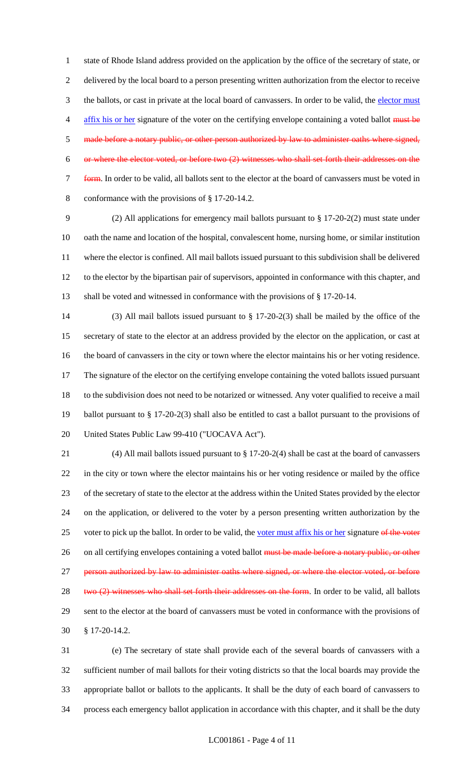state of Rhode Island address provided on the application by the office of the secretary of state, or delivered by the local board to a person presenting written authorization from the elector to receive 3 the ballots, or cast in private at the local board of canvassers. In order to be valid, the elector must 4 affix his or her signature of the voter on the certifying envelope containing a voted ballot must be made before a notary public, or other person authorized by law to administer oaths where signed, or where the elector voted, or before two (2) witnesses who shall set forth their addresses on the form. In order to be valid, all ballots sent to the elector at the board of canvassers must be voted in conformance with the provisions of § 17-20-14.2.

 (2) All applications for emergency mail ballots pursuant to § 17-20-2(2) must state under oath the name and location of the hospital, convalescent home, nursing home, or similar institution where the elector is confined. All mail ballots issued pursuant to this subdivision shall be delivered to the elector by the bipartisan pair of supervisors, appointed in conformance with this chapter, and shall be voted and witnessed in conformance with the provisions of § 17-20-14.

 (3) All mail ballots issued pursuant to § 17-20-2(3) shall be mailed by the office of the secretary of state to the elector at an address provided by the elector on the application, or cast at the board of canvassers in the city or town where the elector maintains his or her voting residence. The signature of the elector on the certifying envelope containing the voted ballots issued pursuant to the subdivision does not need to be notarized or witnessed. Any voter qualified to receive a mail ballot pursuant to § 17-20-2(3) shall also be entitled to cast a ballot pursuant to the provisions of United States Public Law 99-410 ("UOCAVA Act").

 (4) All mail ballots issued pursuant to § 17-20-2(4) shall be cast at the board of canvassers in the city or town where the elector maintains his or her voting residence or mailed by the office of the secretary of state to the elector at the address within the United States provided by the elector on the application, or delivered to the voter by a person presenting written authorization by the 25 voter to pick up the ballot. In order to be valid, the voter must affix his or her signature of the voter 26 on all certifying envelopes containing a voted ballot must be made before a notary public, or other 27 person authorized by law to administer oaths where signed, or where the elector voted, or before 28 two (2) witnesses who shall set forth their addresses on the form. In order to be valid, all ballots sent to the elector at the board of canvassers must be voted in conformance with the provisions of § 17-20-14.2.

 (e) The secretary of state shall provide each of the several boards of canvassers with a sufficient number of mail ballots for their voting districts so that the local boards may provide the appropriate ballot or ballots to the applicants. It shall be the duty of each board of canvassers to process each emergency ballot application in accordance with this chapter, and it shall be the duty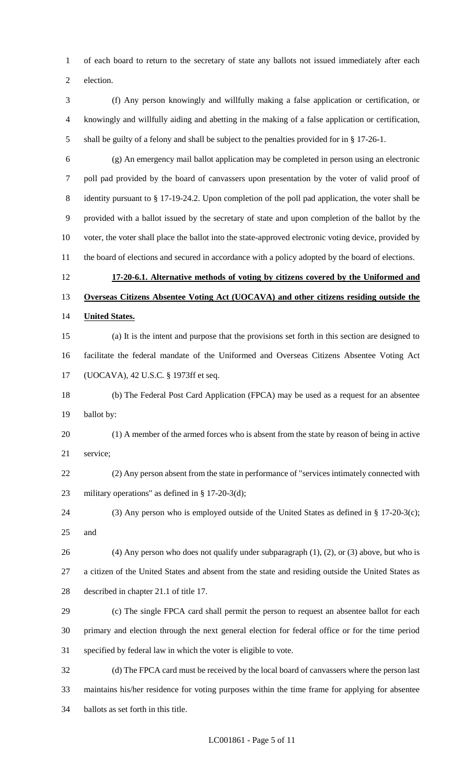of each board to return to the secretary of state any ballots not issued immediately after each

election.

 (f) Any person knowingly and willfully making a false application or certification, or knowingly and willfully aiding and abetting in the making of a false application or certification, shall be guilty of a felony and shall be subject to the penalties provided for in § 17-26-1.

 (g) An emergency mail ballot application may be completed in person using an electronic poll pad provided by the board of canvassers upon presentation by the voter of valid proof of identity pursuant to § 17-19-24.2. Upon completion of the poll pad application, the voter shall be provided with a ballot issued by the secretary of state and upon completion of the ballot by the voter, the voter shall place the ballot into the state-approved electronic voting device, provided by 11 the board of elections and secured in accordance with a policy adopted by the board of elections.

# **17-20-6.1. Alternative methods of voting by citizens covered by the Uniformed and Overseas Citizens Absentee Voting Act (UOCAVA) and other citizens residing outside the United States.**

- (a) It is the intent and purpose that the provisions set forth in this section are designed to facilitate the federal mandate of the Uniformed and Overseas Citizens Absentee Voting Act (UOCAVA), 42 U.S.C. § 1973ff et seq.
- (b) The Federal Post Card Application (FPCA) may be used as a request for an absentee ballot by:
- (1) A member of the armed forces who is absent from the state by reason of being in active service;
- (2) Any person absent from the state in performance of "services intimately connected with military operations" as defined in § 17-20-3(d);
- (3) Any person who is employed outside of the United States as defined in § 17-20-3(c); and
- (4) Any person who does not qualify under subparagraph (1), (2), or (3) above, but who is a citizen of the United States and absent from the state and residing outside the United States as described in chapter 21.1 of title 17.
- (c) The single FPCA card shall permit the person to request an absentee ballot for each primary and election through the next general election for federal office or for the time period specified by federal law in which the voter is eligible to vote.

 (d) The FPCA card must be received by the local board of canvassers where the person last maintains his/her residence for voting purposes within the time frame for applying for absentee ballots as set forth in this title.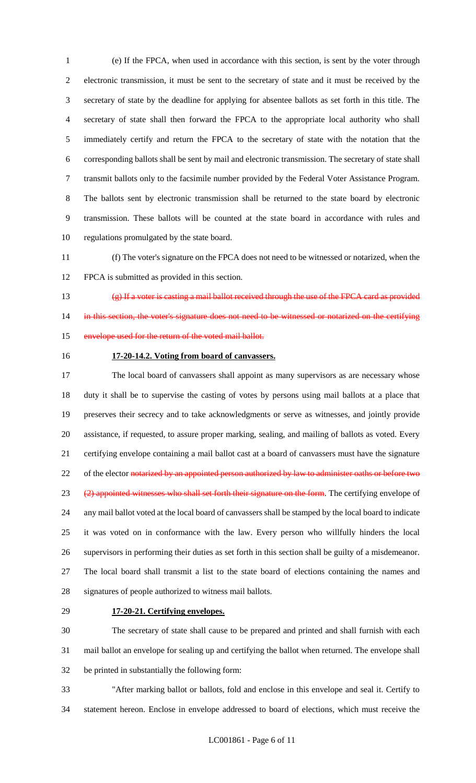(e) If the FPCA, when used in accordance with this section, is sent by the voter through electronic transmission, it must be sent to the secretary of state and it must be received by the secretary of state by the deadline for applying for absentee ballots as set forth in this title. The secretary of state shall then forward the FPCA to the appropriate local authority who shall immediately certify and return the FPCA to the secretary of state with the notation that the corresponding ballots shall be sent by mail and electronic transmission. The secretary of state shall transmit ballots only to the facsimile number provided by the Federal Voter Assistance Program. The ballots sent by electronic transmission shall be returned to the state board by electronic transmission. These ballots will be counted at the state board in accordance with rules and regulations promulgated by the state board.

 (f) The voter's signature on the FPCA does not need to be witnessed or notarized, when the FPCA is submitted as provided in this section.

 (g) If a voter is casting a mail ballot received through the use of the FPCA card as provided 14 in this section, the voter's signature does not need to be witnessed or notarized on the certifying envelope used for the return of the voted mail ballot.

#### **17-20-14.2. Voting from board of canvassers.**

 The local board of canvassers shall appoint as many supervisors as are necessary whose duty it shall be to supervise the casting of votes by persons using mail ballots at a place that preserves their secrecy and to take acknowledgments or serve as witnesses, and jointly provide assistance, if requested, to assure proper marking, sealing, and mailing of ballots as voted. Every certifying envelope containing a mail ballot cast at a board of canvassers must have the signature 22 of the elector notarized by an appointed person authorized by law to administer oaths or before two 23 (2) appointed witnesses who shall set forth their signature on the form. The certifying envelope of any mail ballot voted at the local board of canvassers shall be stamped by the local board to indicate it was voted on in conformance with the law. Every person who willfully hinders the local supervisors in performing their duties as set forth in this section shall be guilty of a misdemeanor. The local board shall transmit a list to the state board of elections containing the names and signatures of people authorized to witness mail ballots.

#### **17-20-21. Certifying envelopes.**

 The secretary of state shall cause to be prepared and printed and shall furnish with each mail ballot an envelope for sealing up and certifying the ballot when returned. The envelope shall be printed in substantially the following form:

 "After marking ballot or ballots, fold and enclose in this envelope and seal it. Certify to statement hereon. Enclose in envelope addressed to board of elections, which must receive the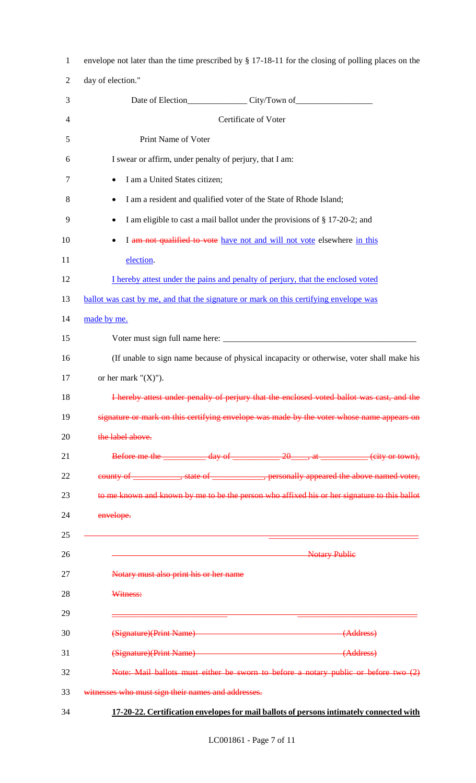| $\mathbf{1}$   | envelope not later than the time prescribed by § 17-18-11 for the closing of polling places on the |
|----------------|----------------------------------------------------------------------------------------------------|
| $\overline{2}$ | day of election."                                                                                  |
| 3              |                                                                                                    |
| 4              | Certificate of Voter                                                                               |
| 5              | Print Name of Voter                                                                                |
| 6              | I swear or affirm, under penalty of perjury, that I am:                                            |
| $\tau$         | I am a United States citizen;<br>٠                                                                 |
| 8              | I am a resident and qualified voter of the State of Rhode Island;<br>٠                             |
| 9              | I am eligible to cast a mail ballot under the provisions of § 17-20-2; and<br>٠                    |
| 10             | I am not qualified to vote have not and will not vote elsewhere in this<br>٠                       |
| 11             | election.                                                                                          |
| 12             | I hereby attest under the pains and penalty of perjury, that the enclosed voted                    |
| 13             | ballot was cast by me, and that the signature or mark on this certifying envelope was              |
| 14             | made by me.                                                                                        |
| 15             |                                                                                                    |
| 16             | (If unable to sign name because of physical incapacity or otherwise, voter shall make his          |
| 17             | or her mark " $(X)$ ").                                                                            |
| 18             | I hereby attest under penalty of perjury that the enclosed voted ballot was cast, and the          |
| 19             | signature or mark on this certifying envelope was made by the voter whose name appears on          |
| 20             | the label above.                                                                                   |
| 21             | Before me the $\frac{day \text{ of } 20 \text{ m}, at }$ (city or town),                           |
| 22             | county of _____________, state of _______________, personally appeared the above named voter,      |
| 23             | to me known and known by me to be the person who affixed his or her signature to this ballot       |
| 24             | envelope.                                                                                          |
| 25             |                                                                                                    |
| 26             | <b>Notary Publie</b>                                                                               |
| 27             | Notary must also print his or her name                                                             |
| 28             | Witness:                                                                                           |
| 29             |                                                                                                    |
| 30             | (Signature)(Print Name)<br>(Address)                                                               |
| 31             | (Signature)(Print Name)<br>(Address)                                                               |
| 32             | Note: Mail ballots must either be sworn to before a notary public or before two (2)                |
| 33             | witnesses who must sign their names and addresses.                                                 |
| 34             | 17-20-22. Certification envelopes for mail ballots of persons intimately connected with            |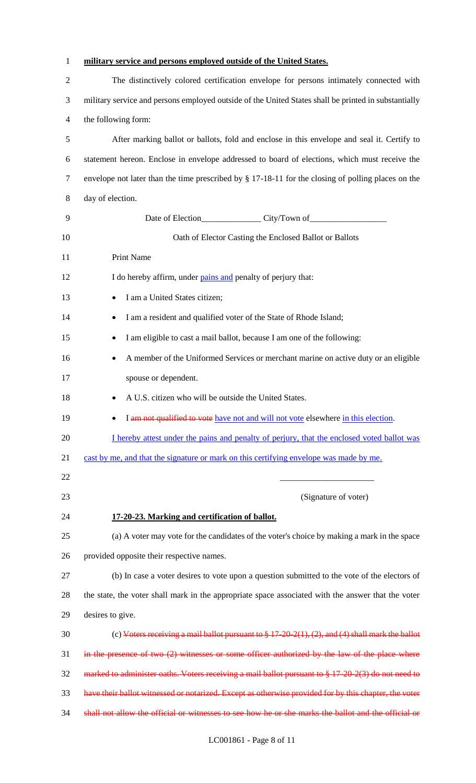| $\mathbf{1}$   | military service and persons employed outside of the United States.                                   |
|----------------|-------------------------------------------------------------------------------------------------------|
| $\overline{2}$ | The distinctively colored certification envelope for persons intimately connected with                |
| 3              | military service and persons employed outside of the United States shall be printed in substantially  |
| 4              | the following form:                                                                                   |
| 5              | After marking ballot or ballots, fold and enclose in this envelope and seal it. Certify to            |
| 6              | statement hereon. Enclose in envelope addressed to board of elections, which must receive the         |
| 7              | envelope not later than the time prescribed by § 17-18-11 for the closing of polling places on the    |
| 8              | day of election.                                                                                      |
| 9              |                                                                                                       |
| 10             | Oath of Elector Casting the Enclosed Ballot or Ballots                                                |
| 11             | Print Name                                                                                            |
| 12             | I do hereby affirm, under pains and penalty of perjury that:                                          |
| 13             | I am a United States citizen;                                                                         |
| 14             | I am a resident and qualified voter of the State of Rhode Island;                                     |
| 15             | I am eligible to cast a mail ballot, because I am one of the following:                               |
| 16             | A member of the Uniformed Services or merchant marine on active duty or an eligible<br>٠              |
| 17             | spouse or dependent.                                                                                  |
| 18             | A U.S. citizen who will be outside the United States.                                                 |
| 19             | I am not qualified to vote have not and will not vote elsewhere in this election.                     |
| 20             | I hereby attest under the pains and penalty of perjury, that the enclosed voted ballot was            |
| 21             | cast by me, and that the signature or mark on this certifying envelope was made by me.                |
| 22             |                                                                                                       |
| 23             | (Signature of voter)                                                                                  |
| 24             | 17-20-23. Marking and certification of ballot.                                                        |
| 25             | (a) A voter may vote for the candidates of the voter's choice by making a mark in the space           |
| 26             | provided opposite their respective names.                                                             |
| 27             | (b) In case a voter desires to vote upon a question submitted to the vote of the electors of          |
| 28             | the state, the voter shall mark in the appropriate space associated with the answer that the voter    |
| 29             | desires to give.                                                                                      |
| 30             | (c) Voters receiving a mail ballot pursuant to $\S 17-20-2(1)$ , (2), and (4) shall mark the ballot   |
| 31             | in the presence of two $(2)$ witnesses or some officer authorized by the law of the place where       |
| 32             | marked to administer oaths. Voters receiving a mail ballot pursuant to $\S 17-20-2(3)$ do not need to |
| 33             | have their ballot witnessed or notarized. Except as otherwise provided for by this chapter, the voter |
| 34             | shall not allow the official or witnesses to see how he or she marks the ballot and the official or   |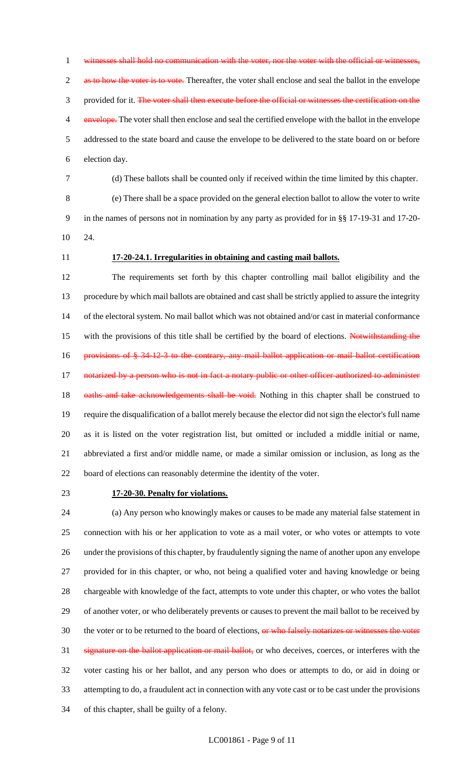1 witnesses shall hold no communication with the voter, nor the voter with the official or witnesse 2 as to how the voter is to vote. Thereafter, the voter shall enclose and seal the ballot in the envelope 3 provided for it. The voter shall then execute before the official or witnesses the certification on the <sup>4</sup> envelope. The voter shall then enclose and seal the certified envelope with the ballot in the envelope addressed to the state board and cause the envelope to be delivered to the state board on or before election day.

(d) These ballots shall be counted only if received within the time limited by this chapter.

 (e) There shall be a space provided on the general election ballot to allow the voter to write in the names of persons not in nomination by any party as provided for in §§ 17-19-31 and 17-20- 24.

# **17-20-24.1. Irregularities in obtaining and casting mail ballots.**

 The requirements set forth by this chapter controlling mail ballot eligibility and the procedure by which mail ballots are obtained and cast shall be strictly applied to assure the integrity of the electoral system. No mail ballot which was not obtained and/or cast in material conformance 15 with the provisions of this title shall be certified by the board of elections. Notwithstanding the 16 provisions of § 34-12-3 to the contrary, any mail ballot application or mail ballot certification 17 notarized by a person who is not in fact a notary public or other officer authorized to administer 18 oaths and take acknowledgements shall be void. Nothing in this chapter shall be construed to require the disqualification of a ballot merely because the elector did not sign the elector's full name as it is listed on the voter registration list, but omitted or included a middle initial or name, abbreviated a first and/or middle name, or made a similar omission or inclusion, as long as the board of elections can reasonably determine the identity of the voter.

#### **17-20-30. Penalty for violations.**

 (a) Any person who knowingly makes or causes to be made any material false statement in connection with his or her application to vote as a mail voter, or who votes or attempts to vote under the provisions of this chapter, by fraudulently signing the name of another upon any envelope provided for in this chapter, or who, not being a qualified voter and having knowledge or being chargeable with knowledge of the fact, attempts to vote under this chapter, or who votes the ballot of another voter, or who deliberately prevents or causes to prevent the mail ballot to be received by 30 the voter or to be returned to the board of elections, or who falsely notarizes or witnesses the voter signature on the ballot application or mail ballot, or who deceives, coerces, or interferes with the voter casting his or her ballot, and any person who does or attempts to do, or aid in doing or attempting to do, a fraudulent act in connection with any vote cast or to be cast under the provisions of this chapter, shall be guilty of a felony.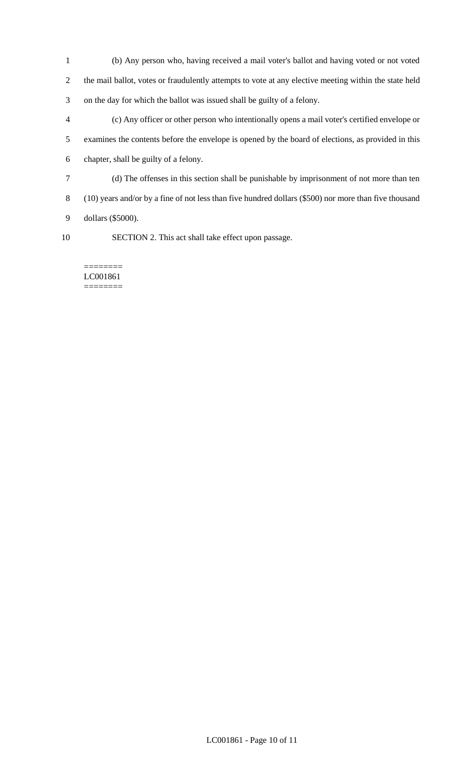- (b) Any person who, having received a mail voter's ballot and having voted or not voted the mail ballot, votes or fraudulently attempts to vote at any elective meeting within the state held on the day for which the ballot was issued shall be guilty of a felony.
- (c) Any officer or other person who intentionally opens a mail voter's certified envelope or examines the contents before the envelope is opened by the board of elections, as provided in this chapter, shall be guilty of a felony.
- (d) The offenses in this section shall be punishable by imprisonment of not more than ten
- (10) years and/or by a fine of not less than five hundred dollars (\$500) nor more than five thousand
- dollars (\$5000).
- 
- SECTION 2. This act shall take effect upon passage.

#### ======== LC001861 ========